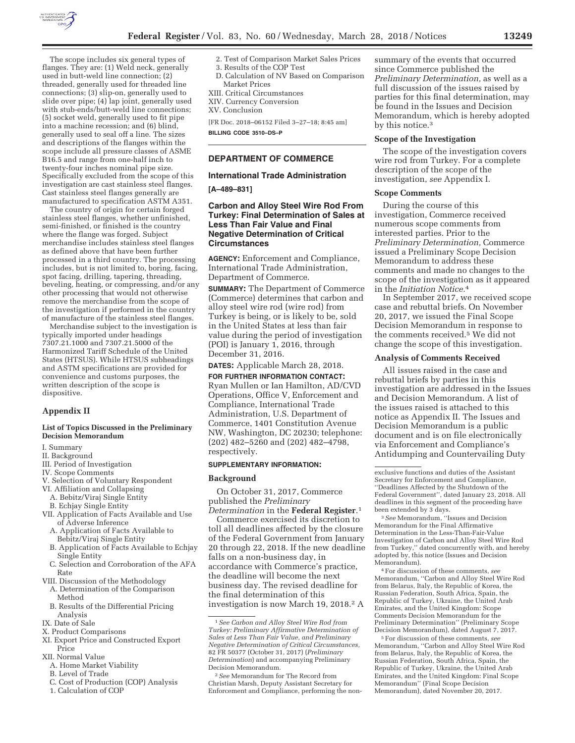

The scope includes six general types of flanges. They are: (1) Weld neck, generally used in butt-weld line connection; (2) threaded, generally used for threaded line connections; (3) slip-on, generally used to slide over pipe; (4) lap joint, generally used with stub-ends/butt-weld line connections; (5) socket weld, generally used to fit pipe into a machine recession; and (6) blind, generally used to seal off a line. The sizes and descriptions of the flanges within the scope include all pressure classes of ASME B16.5 and range from one-half inch to twenty-four inches nominal pipe size. Specifically excluded from the scope of this investigation are cast stainless steel flanges. Cast stainless steel flanges generally are manufactured to specification ASTM A351.

The country of origin for certain forged stainless steel flanges, whether unfinished, semi-finished, or finished is the country where the flange was forged. Subject merchandise includes stainless steel flanges as defined above that have been further processed in a third country. The processing includes, but is not limited to, boring, facing, spot facing, drilling, tapering, threading, beveling, heating, or compressing, and/or any other processing that would not otherwise remove the merchandise from the scope of the investigation if performed in the country of manufacture of the stainless steel flanges.

Merchandise subject to the investigation is typically imported under headings 7307.21.1000 and 7307.21.5000 of the Harmonized Tariff Schedule of the United States (HTSUS). While HTSUS subheadings and ASTM specifications are provided for convenience and customs purposes, the written description of the scope is dispositive.

## **Appendix II**

### **List of Topics Discussed in the Preliminary Decision Memorandum**

- I. Summary
- II. Background
- III. Period of Investigation
- IV. Scope Comments
- V. Selection of Voluntary Respondent
- VI. Affiliation and Collapsing
- A. Bebitz/Viraj Single Entity
- B. Echjay Single Entity
- VII. Application of Facts Available and Use of Adverse Inference
	- A. Application of Facts Available to Bebitz/Viraj Single Entity
	- B. Application of Facts Available to Echjay Single Entity
	- C. Selection and Corroboration of the AFA Rate
- VIII. Discussion of the Methodology
	- A. Determination of the Comparison Method
	- B. Results of the Differential Pricing Analysis
- IX. Date of Sale
- X. Product Comparisons
- XI. Export Price and Constructed Export Price
- XII. Normal Value
	- A. Home Market Viability
- B. Level of Trade
- C. Cost of Production (COP) Analysis
- 1. Calculation of COP
- 2. Test of Comparison Market Sales Prices 3. Results of the COP Test
- D. Calculation of NV Based on Comparison Market Prices
- XIII. Critical Circumstances
- XIV. Currency Conversion
- XV. Conclusion

[FR Doc. 2018–06152 Filed 3–27–18; 8:45 am] **BILLING CODE 3510–DS–P** 

## **DEPARTMENT OF COMMERCE**

### **International Trade Administration**

### **[A–489–831]**

## **Carbon and Alloy Steel Wire Rod From Turkey: Final Determination of Sales at Less Than Fair Value and Final Negative Determination of Critical Circumstances**

**AGENCY:** Enforcement and Compliance, International Trade Administration, Department of Commerce.

**SUMMARY:** The Department of Commerce (Commerce) determines that carbon and alloy steel wire rod (wire rod) from Turkey is being, or is likely to be, sold in the United States at less than fair value during the period of investigation (POI) is January 1, 2016, through December 31, 2016.

**DATES:** Applicable March 28, 2018.

**FOR FURTHER INFORMATION CONTACT:**  Ryan Mullen or Ian Hamilton, AD/CVD Operations, Office V, Enforcement and Compliance, International Trade Administration, U.S. Department of Commerce, 1401 Constitution Avenue NW, Washington, DC 20230; telephone: (202) 482–5260 and (202) 482–4798, respectively.

#### **SUPPLEMENTARY INFORMATION:**

#### **Background**

On October 31, 2017, Commerce published the *Preliminary Determination* in the **Federal Register**.1

Commerce exercised its discretion to toll all deadlines affected by the closure of the Federal Government from January 20 through 22, 2018. If the new deadline falls on a non-business day, in accordance with Commerce's practice, the deadline will become the next business day. The revised deadline for the final determination of this investigation is now March 19, 2018.2 A

2*See* Memorandum for The Record from Christian Marsh, Deputy Assistant Secretary for Enforcement and Compliance, performing the nonsummary of the events that occurred since Commerce published the *Preliminary Determination,* as well as a full discussion of the issues raised by parties for this final determination, may be found in the Issues and Decision Memorandum, which is hereby adopted by this notice.3

#### **Scope of the Investigation**

The scope of the investigation covers wire rod from Turkey. For a complete description of the scope of the investigation, *see* Appendix I.

### **Scope Comments**

During the course of this investigation, Commerce received numerous scope comments from interested parties. Prior to the *Preliminary Determination,* Commerce issued a Preliminary Scope Decision Memorandum to address these comments and made no changes to the scope of the investigation as it appeared in the *Initiation Notice.*4

In September 2017, we received scope case and rebuttal briefs. On November 20, 2017, we issued the Final Scope Decision Memorandum in response to the comments received.5 We did not change the scope of this investigation.

#### **Analysis of Comments Received**

All issues raised in the case and rebuttal briefs by parties in this investigation are addressed in the Issues and Decision Memorandum. A list of the issues raised is attached to this notice as Appendix II. The Issues and Decision Memorandum is a public document and is on file electronically via Enforcement and Compliance's Antidumping and Countervailing Duty

3*See* Memorandum, ''Issues and Decision Memorandum for the Final Affirmative Determination in the Less-Than-Fair-Value Investigation of Carbon and Alloy Steel Wire Rod from Turkey,'' dated concurrently with, and hereby adopted by, this notice (Issues and Decision Memorandum).

4For discussion of these comments, *see*  Memorandum, ''Carbon and Alloy Steel Wire Rod from Belarus, Italy, the Republic of Korea, the Russian Federation, South Africa, Spain, the Republic of Turkey, Ukraine, the United Arab Emirates, and the United Kingdom: Scope Comments Decision Memorandum for the Preliminary Determination'' (Preliminary Scope Decision Memorandum), dated August 7, 2017.

5For discussion of these comments, *see*  Memorandum, ''Carbon and Alloy Steel Wire Rod from Belarus, Italy, the Republic of Korea, the Russian Federation, South Africa, Spain, the Republic of Turkey, Ukraine, the United Arab Emirates, and the United Kingdom: Final Scope Memorandum'' (Final Scope Decision Memorandum), dated November 20, 2017.

<sup>1</sup>*See Carbon and Alloy Steel Wire Rod from Turkey: Preliminary Affirmative Determination of Sales at Less Than Fair Value, and Preliminary Negative Determination of Critical Circumstances,*  82 FR 50377 (October 31, 2017) (*Preliminary Determination*) and accompanying Preliminary Decision Memorandum.

exclusive functions and duties of the Assistant Secretary for Enforcement and Compliance, ''Deadlines Affected by the Shutdown of the Federal Government'', dated January 23, 2018. All deadlines in this segment of the proceeding have been extended by 3 days.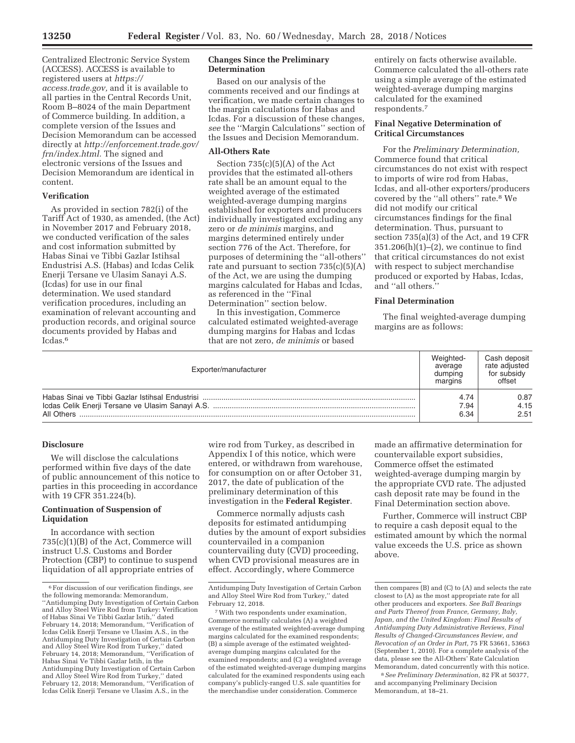Centralized Electronic Service System (ACCESS). ACCESS is available to registered users at *https:// access.trade.gov,* and it is available to all parties in the Central Records Unit, Room B–8024 of the main Department of Commerce building. In addition, a complete version of the Issues and Decision Memorandum can be accessed directly at *http://enforcement.trade.gov/ frn/index.html.* The signed and electronic versions of the Issues and Decision Memorandum are identical in content.

# **Verification**

As provided in section 782(i) of the Tariff Act of 1930, as amended, (the Act) in November 2017 and February 2018, we conducted verification of the sales and cost information submitted by Habas Sinai ve Tibbi Gazlar Istihsal Endustrisi A.S. (Habas) and Icdas Celik Enerji Tersane ve Ulasim Sanayi A.S. (Icdas) for use in our final determination. We used standard verification procedures, including an examination of relevant accounting and production records, and original source documents provided by Habas and Icdas.6

### **Changes Since the Preliminary Determination**

Based on our analysis of the comments received and our findings at verification, we made certain changes to the margin calculations for Habas and Icdas. For a discussion of these changes, *see* the ''Margin Calculations'' section of the Issues and Decision Memorandum.

### **All-Others Rate**

Section 735(c)(5)(A) of the Act provides that the estimated all-others rate shall be an amount equal to the weighted average of the estimated weighted-average dumping margins established for exporters and producers individually investigated excluding any zero or *de minimis* margins, and margins determined entirely under section 776 of the Act. Therefore, for purposes of determining the ''all-others'' rate and pursuant to section  $735(c)(5)(A)$ of the Act, we are using the dumping margins calculated for Habas and Icdas, as referenced in the ''Final Determination'' section below.

In this investigation, Commerce calculated estimated weighted-average dumping margins for Habas and Icdas that are not zero, *de minimis* or based

entirely on facts otherwise available. Commerce calculated the all-others rate using a simple average of the estimated weighted-average dumping margins calculated for the examined respondents.7

# **Final Negative Determination of Critical Circumstances**

For the *Preliminary Determination,*  Commerce found that critical circumstances do not exist with respect to imports of wire rod from Habas, Icdas, and all-other exporters/producers covered by the ''all others'' rate.8 We did not modify our critical circumstances findings for the final determination. Thus, pursuant to section 735(a)(3) of the Act, and 19 CFR  $351.206(h)(1)–(2)$ , we continue to find that critical circumstances do not exist with respect to subject merchandise produced or exported by Habas, Icdas, and ''all others.''

### **Final Determination**

The final weighted-average dumping margins are as follows:

| Exporter/manufacturer | Weighted-<br>average<br>dumping<br>margins | Cash deposit<br>rate adiusted<br>for subsidy<br>offset |
|-----------------------|--------------------------------------------|--------------------------------------------------------|
|                       | 4.74                                       | 0.87                                                   |
|                       | 7.94                                       | 4.15                                                   |
| All Others            | 6.34                                       | 2.51                                                   |

#### **Disclosure**

We will disclose the calculations performed within five days of the date of public announcement of this notice to parties in this proceeding in accordance with 19 CFR 351.224(b).

# **Continuation of Suspension of Liquidation**

In accordance with section 735(c)(1)(B) of the Act, Commerce will instruct U.S. Customs and Border Protection (CBP) to continue to suspend liquidation of all appropriate entries of

wire rod from Turkey, as described in Appendix I of this notice, which were entered, or withdrawn from warehouse, for consumption on or after October 31, 2017, the date of publication of the preliminary determination of this investigation in the **Federal Register**.

Commerce normally adjusts cash deposits for estimated antidumping duties by the amount of export subsidies countervailed in a companion countervailing duty (CVD) proceeding, when CVD provisional measures are in effect. Accordingly, where Commerce

made an affirmative determination for countervailable export subsidies, Commerce offset the estimated weighted-average dumping margin by the appropriate CVD rate. The adjusted cash deposit rate may be found in the Final Determination section above.

Further, Commerce will instruct CBP to require a cash deposit equal to the estimated amount by which the normal value exceeds the U.S. price as shown above.

8*See Preliminary Determination,* 82 FR at 50377, and accompanying Preliminary Decision Memorandum, at 18–21.

<sup>6</sup>For discussion of our verification findings, *see*  the following memoranda: Memorandum, ''Antidumping Duty Investigation of Certain Carbon and Alloy Steel Wire Rod from Turkey: Verification of Habas Sinai Ve Tibbi Gazlar Istih,'' dated February 14, 2018; Memorandum, ''Verification of Icdas Celik Enerji Tersane ve Ulasim A.S., in the Antidumping Duty Investigation of Certain Carbon and Alloy Steel Wire Rod from Turkey,'' dated February 14, 2018; Memorandum, ''Verification of Habas Sinai Ve Tibbi Gazlar Istih, in the Antidumping Duty Investigation of Certain Carbon and Alloy Steel Wire Rod from Turkey,'' dated February 12, 2018; Memorandum, ''Verification of Icdas Celik Enerji Tersane ve Ulasim A.S., in the

Antidumping Duty Investigation of Certain Carbon and Alloy Steel Wire Rod from Turkey,'' dated February 12, 2018.

<sup>7</sup>With two respondents under examination, Commerce normally calculates (A) a weighted average of the estimated weighted-average dumping margins calculated for the examined respondents; (B) a simple average of the estimated weightedaverage dumping margins calculated for the examined respondents; and (C) a weighted average of the estimated weighted-average dumping margins calculated for the examined respondents using each company's publicly-ranged U.S. sale quantities for the merchandise under consideration. Commerce

then compares (B) and (C) to (A) and selects the rate closest to (A) as the most appropriate rate for all other producers and exporters. *See Ball Bearings and Parts Thereof from France, Germany, Italy, Japan, and the United Kingdom: Final Results of Antidumping Duty Administrative Reviews, Final Results of Changed-Circumstances Review, and Revocation of an Order in Part,* 75 FR 53661, 53663 (September 1, 2010). For a complete analysis of the data, please see the All-Others' Rate Calculation Memorandum, dated concurrently with this notice.